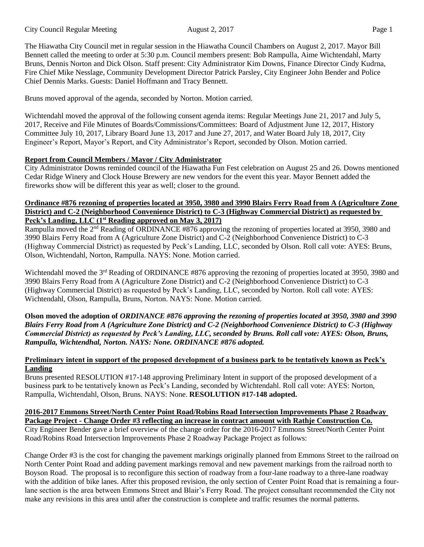The Hiawatha City Council met in regular session in the Hiawatha Council Chambers on August 2, 2017. Mayor Bill Bennett called the meeting to order at 5:30 p.m. Council members present: Bob Rampulla, Aime Wichtendahl, Marty Bruns, Dennis Norton and Dick Olson. Staff present: City Administrator Kim Downs, Finance Director Cindy Kudrna, Fire Chief Mike Nesslage, Community Development Director Patrick Parsley, City Engineer John Bender and Police Chief Dennis Marks. Guests: Daniel Hoffmann and Tracy Bennett.

Bruns moved approval of the agenda, seconded by Norton. Motion carried.

Wichtendahl moved the approval of the following consent agenda items: Regular Meetings June 21, 2017 and July 5, 2017, Receive and File Minutes of Boards/Commissions/Committees: Board of Adjustment June 12, 2017, History Committee July 10, 2017, Library Board June 13, 2017 and June 27, 2017, and Water Board July 18, 2017, City Engineer's Report, Mayor's Report, and City Administrator's Report, seconded by Olson. Motion carried.

## **Report from Council Members / Mayor / City Administrator**

City Administrator Downs reminded council of the Hiawatha Fun Fest celebration on August 25 and 26. Downs mentioned Cedar Ridge Winery and Clock House Brewery are new vendors for the event this year. Mayor Bennett added the fireworks show will be different this year as well; closer to the ground.

## **Ordinance #876 rezoning of properties located at 3950, 3980 and 3990 Blairs Ferry Road from A (Agriculture Zone District) and C-2 (Neighborhood Convenience District) to C-3 (Highway Commercial District) as requested by Peck's Landing, LLC (1st Reading approved on May 3, 2017)**

Rampulla moved the 2<sup>nd</sup> Reading of ORDINANCE #876 approving the rezoning of properties located at 3950, 3980 and 3990 Blairs Ferry Road from A (Agriculture Zone District) and C-2 (Neighborhood Convenience District) to C-3 (Highway Commercial District) as requested by Peck's Landing, LLC, seconded by Olson. Roll call vote: AYES: Bruns, Olson, Wichtendahl, Norton, Rampulla. NAYS: None. Motion carried.

Wichtendahl moved the 3<sup>rd</sup> Reading of ORDINANCE #876 approving the rezoning of properties located at 3950, 3980 and 3990 Blairs Ferry Road from A (Agriculture Zone District) and C-2 (Neighborhood Convenience District) to C-3 (Highway Commercial District) as requested by Peck's Landing, LLC, seconded by Norton. Roll call vote: AYES: Wichtendahl, Olson, Rampulla, Bruns, Norton. NAYS: None. Motion carried.

**Olson moved the adoption of** *ORDINANCE #876 approving the rezoning of properties located at 3950, 3980 and 3990 Blairs Ferry Road from A (Agriculture Zone District) and C-2 (Neighborhood Convenience District) to C-3 (Highway Commercial District) as requested by Peck's Landing, LLC, seconded by Bruns. Roll call vote: AYES: Olson, Bruns, Rampulla, Wichtendhal, Norton. NAYS: None. ORDINANCE #876 adopted.*

## **Preliminary intent in support of the proposed development of a business park to be tentatively known as Peck's Landing**

Bruns presented RESOLUTION #17-148 approving Preliminary Intent in support of the proposed development of a business park to be tentatively known as Peck's Landing, seconded by Wichtendahl. Roll call vote: AYES: Norton, Rampulla, Wichtendahl, Olson, Bruns. NAYS: None. **RESOLUTION #17-148 adopted.** 

**2016-2017 Emmons Street/North Center Point Road/Robins Road Intersection Improvements Phase 2 Roadway Package Project - Change Order #3 reflecting an increase in contract amount with Rathje Construction Co.** City Engineer Bender gave a brief overview of the change order for the 2016-2017 Emmons Street/North Center Point Road/Robins Road Intersection Improvements Phase 2 Roadway Package Project as follows:

Change Order #3 is the cost for changing the pavement markings originally planned from Emmons Street to the railroad on North Center Point Road and adding pavement markings removal and new pavement markings from the railroad north to Boyson Road. The proposal is to reconfigure this section of roadway from a four-lane roadway to a three-lane roadway with the addition of bike lanes. After this proposed revision, the only section of Center Point Road that is remaining a fourlane section is the area between Emmons Street and Blair's Ferry Road. The project consultant recommended the City not make any revisions in this area until after the construction is complete and traffic resumes the normal patterns.